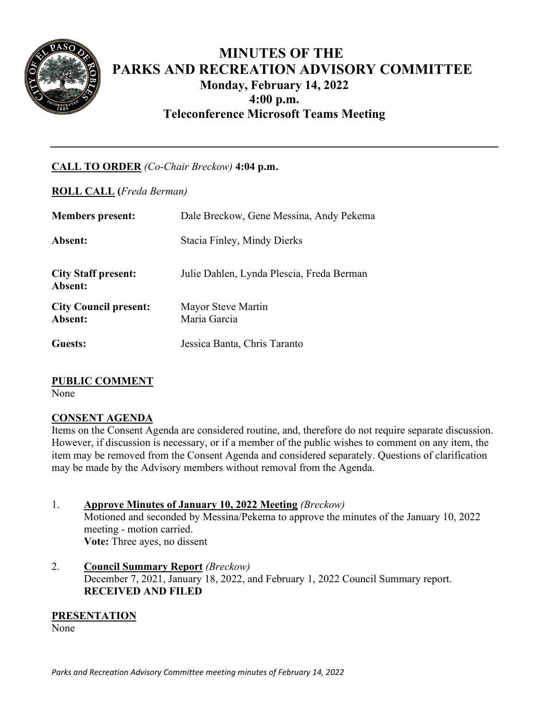

# **MINUTES OF THE PARKS AND RECREATION ADVISORY COMMITTEE Monday, February 14, 2022 4:00 p.m. Teleconference Microsoft Teams Meeting**

# **CALL TO ORDER** *(Co-Chair Breckow)* **4:04 p.m.**

**ROLL CALL (***Freda Berman)*

| <b>Members present:</b>                 | Dale Breckow, Gene Messina, Andy Pekema   |
|-----------------------------------------|-------------------------------------------|
| Absent:                                 | Stacia Finley, Mindy Dierks               |
| <b>City Staff present:</b><br>Absent:   | Julie Dahlen, Lynda Plescia, Freda Berman |
| <b>City Council present:</b><br>Absent: | Mayor Steve Martin<br>Maria Garcia        |
| Guests:                                 | Jessica Banta, Chris Taranto              |

# **PUBLIC COMMENT**

None

# **CONSENT AGENDA**

Items on the Consent Agenda are considered routine, and, therefore do not require separate discussion. However, if discussion is necessary, or if a member of the public wishes to comment on any item, the item may be removed from the Consent Agenda and considered separately. Questions of clarification may be made by the Advisory members without removal from the Agenda.

## 1. **Approve Minutes of January 10, 2022 Meeting** *(Breckow)* Motioned and seconded by Messina/Pekema to approve the minutes of the January 10, 2022 meeting - motion carried. **Vote:** Three ayes, no dissent

2. **Council Summary Report** *(Breckow)* December 7, 2021, January 18, 2022, and February 1, 2022 Council Summary report. **RECEIVED AND FILED**

## **PRESENTATION**

None